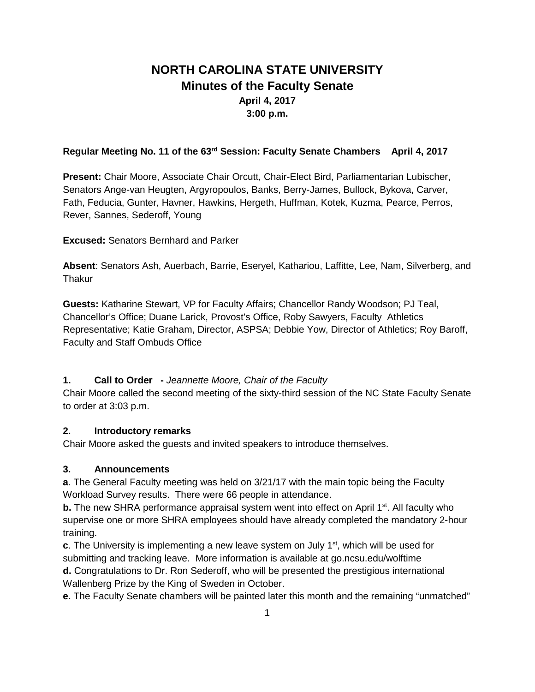# **NORTH CAROLINA STATE UNIVERSITY Minutes of the Faculty Senate April 4, 2017 3:00 p.m.**

## **Regular Meeting No. 11 of the 63rd Session: Faculty Senate Chambers April 4, 2017**

**Present:** Chair Moore, Associate Chair Orcutt, Chair-Elect Bird, Parliamentarian Lubischer, Senators Ange-van Heugten, Argyropoulos, Banks, Berry-James, Bullock, Bykova, Carver, Fath, Feducia, Gunter, Havner, Hawkins, Hergeth, Huffman, Kotek, Kuzma, Pearce, Perros, Rever, Sannes, Sederoff, Young

**Excused:** Senators Bernhard and Parker

**Absent**: Senators Ash, Auerbach, Barrie, Eseryel, Kathariou, Laffitte, Lee, Nam, Silverberg, and **Thakur** 

**Guests:** Katharine Stewart, VP for Faculty Affairs; Chancellor Randy Woodson; PJ Teal, Chancellor's Office; Duane Larick, Provost's Office, Roby Sawyers, Faculty Athletics Representative; Katie Graham, Director, ASPSA; Debbie Yow, Director of Athletics; Roy Baroff, Faculty and Staff Ombuds Office

## **1. Call to Order -** *Jeannette Moore, Chair of the Faculty*

Chair Moore called the second meeting of the sixty-third session of the NC State Faculty Senate to order at 3:03 p.m.

## **2. Introductory remarks**

Chair Moore asked the guests and invited speakers to introduce themselves.

## **3. Announcements**

**a**. The General Faculty meeting was held on 3/21/17 with the main topic being the Faculty Workload Survey results. There were 66 people in attendance.

**b.** The new SHRA performance appraisal system went into effect on April 1<sup>st</sup>. All faculty who supervise one or more SHRA employees should have already completed the mandatory 2-hour training.

**c**. The University is implementing a new leave system on July 1<sup>st</sup>, which will be used for submitting and tracking leave. More information is available at go.ncsu.edu/wolftime

**d.** Congratulations to Dr. Ron Sederoff, who will be presented the prestigious international Wallenberg Prize by the King of Sweden in October.

**e.** The Faculty Senate chambers will be painted later this month and the remaining "unmatched"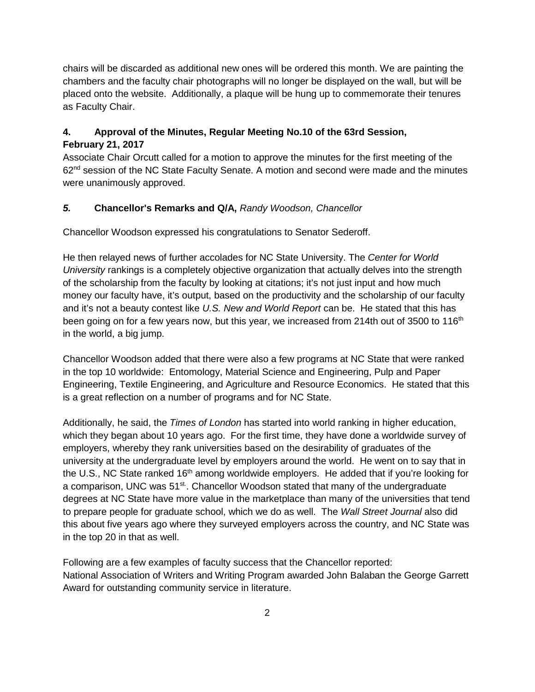chairs will be discarded as additional new ones will be ordered this month. We are painting the chambers and the faculty chair photographs will no longer be displayed on the wall, but will be placed onto the website. Additionally, a plaque will be hung up to commemorate their tenures as Faculty Chair.

## **4. Approval of the Minutes, Regular Meeting No.10 of the 63rd Session, February 21, 2017**

Associate Chair Orcutt called for a motion to approve the minutes for the first meeting of the  $62<sup>nd</sup>$  session of the NC State Faculty Senate. A motion and second were made and the minutes were unanimously approved.

## *5.* **Chancellor's Remarks and Q/A,** *Randy Woodson, Chancellor*

Chancellor Woodson expressed his congratulations to Senator Sederoff.

He then relayed news of further accolades for NC State University. The *Center for World University* rankings is a completely objective organization that actually delves into the strength of the scholarship from the faculty by looking at citations; it's not just input and how much money our faculty have, it's output, based on the productivity and the scholarship of our faculty and it's not a beauty contest like *U.S. New and World Report* can be. He stated that this has been going on for a few years now, but this year, we increased from 214th out of 3500 to 116<sup>th</sup> in the world, a big jump.

Chancellor Woodson added that there were also a few programs at NC State that were ranked in the top 10 worldwide: Entomology, Material Science and Engineering, Pulp and Paper Engineering, Textile Engineering, and Agriculture and Resource Economics. He stated that this is a great reflection on a number of programs and for NC State.

Additionally, he said, the *Times of London* has started into world ranking in higher education, which they began about 10 years ago. For the first time, they have done a worldwide survey of employers, whereby they rank universities based on the desirability of graduates of the university at the undergraduate level by employers around the world. He went on to say that in the U.S., NC State ranked 16<sup>th</sup> among worldwide employers. He added that if you're looking for a comparison, UNC was 51<sup>st.</sup>. Chancellor Woodson stated that many of the undergraduate degrees at NC State have more value in the marketplace than many of the universities that tend to prepare people for graduate school, which we do as well. The *Wall Street Journal* also did this about five years ago where they surveyed employers across the country, and NC State was in the top 20 in that as well.

Following are a few examples of faculty success that the Chancellor reported: National Association of Writers and Writing Program awarded John Balaban the George Garrett Award for outstanding community service in literature.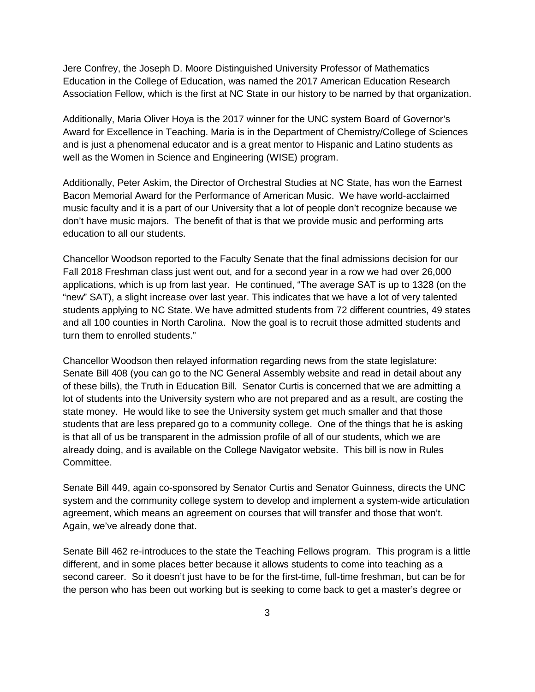Jere Confrey, the Joseph D. Moore Distinguished University Professor of Mathematics Education in the College of Education, was named the 2017 American Education Research Association Fellow, which is the first at NC State in our history to be named by that organization.

Additionally, Maria Oliver Hoya is the 2017 winner for the UNC system Board of Governor's Award for Excellence in Teaching. Maria is in the Department of Chemistry/College of Sciences and is just a phenomenal educator and is a great mentor to Hispanic and Latino students as well as the Women in Science and Engineering (WISE) program.

Additionally, Peter Askim, the Director of Orchestral Studies at NC State, has won the Earnest Bacon Memorial Award for the Performance of American Music. We have world-acclaimed music faculty and it is a part of our University that a lot of people don't recognize because we don't have music majors. The benefit of that is that we provide music and performing arts education to all our students.

Chancellor Woodson reported to the Faculty Senate that the final admissions decision for our Fall 2018 Freshman class just went out, and for a second year in a row we had over 26,000 applications, which is up from last year. He continued, "The average SAT is up to 1328 (on the "new" SAT), a slight increase over last year. This indicates that we have a lot of very talented students applying to NC State. We have admitted students from 72 different countries, 49 states and all 100 counties in North Carolina. Now the goal is to recruit those admitted students and turn them to enrolled students."

Chancellor Woodson then relayed information regarding news from the state legislature: Senate Bill 408 (you can go to the NC General Assembly website and read in detail about any of these bills), the Truth in Education Bill. Senator Curtis is concerned that we are admitting a lot of students into the University system who are not prepared and as a result, are costing the state money. He would like to see the University system get much smaller and that those students that are less prepared go to a community college. One of the things that he is asking is that all of us be transparent in the admission profile of all of our students, which we are already doing, and is available on the College Navigator website. This bill is now in Rules Committee.

Senate Bill 449, again co-sponsored by Senator Curtis and Senator Guinness, directs the UNC system and the community college system to develop and implement a system-wide articulation agreement, which means an agreement on courses that will transfer and those that won't. Again, we've already done that.

Senate Bill 462 re-introduces to the state the Teaching Fellows program. This program is a little different, and in some places better because it allows students to come into teaching as a second career. So it doesn't just have to be for the first-time, full-time freshman, but can be for the person who has been out working but is seeking to come back to get a master's degree or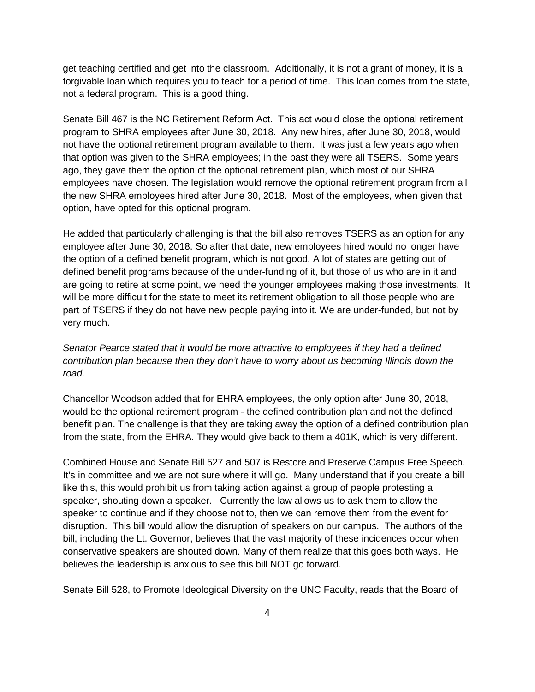get teaching certified and get into the classroom. Additionally, it is not a grant of money, it is a forgivable loan which requires you to teach for a period of time. This loan comes from the state, not a federal program. This is a good thing.

Senate Bill 467 is the NC Retirement Reform Act. This act would close the optional retirement program to SHRA employees after June 30, 2018. Any new hires, after June 30, 2018, would not have the optional retirement program available to them. It was just a few years ago when that option was given to the SHRA employees; in the past they were all TSERS. Some years ago, they gave them the option of the optional retirement plan, which most of our SHRA employees have chosen. The legislation would remove the optional retirement program from all the new SHRA employees hired after June 30, 2018. Most of the employees, when given that option, have opted for this optional program.

He added that particularly challenging is that the bill also removes TSERS as an option for any employee after June 30, 2018. So after that date, new employees hired would no longer have the option of a defined benefit program, which is not good. A lot of states are getting out of defined benefit programs because of the under-funding of it, but those of us who are in it and are going to retire at some point, we need the younger employees making those investments. It will be more difficult for the state to meet its retirement obligation to all those people who are part of TSERS if they do not have new people paying into it. We are under-funded, but not by very much.

*Senator Pearce stated that it would be more attractive to employees if they had a defined contribution plan because then they don't have to worry about us becoming Illinois down the road.*

Chancellor Woodson added that for EHRA employees, the only option after June 30, 2018, would be the optional retirement program - the defined contribution plan and not the defined benefit plan. The challenge is that they are taking away the option of a defined contribution plan from the state, from the EHRA. They would give back to them a 401K, which is very different.

Combined House and Senate Bill 527 and 507 is Restore and Preserve Campus Free Speech. It's in committee and we are not sure where it will go. Many understand that if you create a bill like this, this would prohibit us from taking action against a group of people protesting a speaker, shouting down a speaker. Currently the law allows us to ask them to allow the speaker to continue and if they choose not to, then we can remove them from the event for disruption. This bill would allow the disruption of speakers on our campus. The authors of the bill, including the Lt. Governor, believes that the vast majority of these incidences occur when conservative speakers are shouted down. Many of them realize that this goes both ways. He believes the leadership is anxious to see this bill NOT go forward.

Senate Bill 528, to Promote Ideological Diversity on the UNC Faculty, reads that the Board of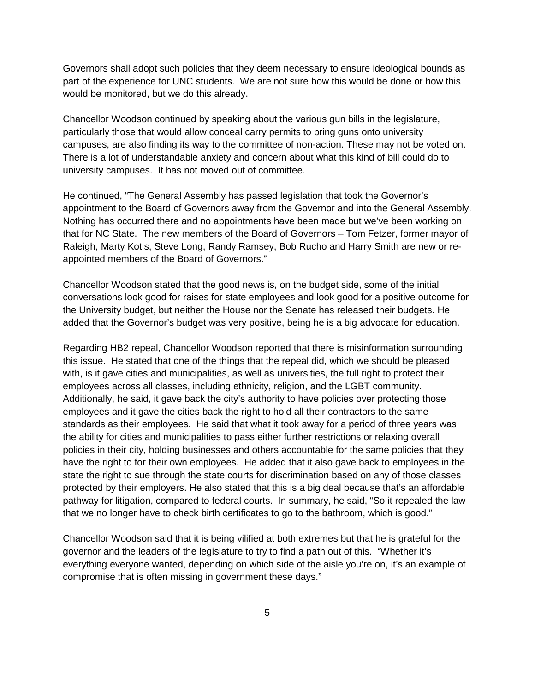Governors shall adopt such policies that they deem necessary to ensure ideological bounds as part of the experience for UNC students. We are not sure how this would be done or how this would be monitored, but we do this already.

Chancellor Woodson continued by speaking about the various gun bills in the legislature, particularly those that would allow conceal carry permits to bring guns onto university campuses, are also finding its way to the committee of non-action. These may not be voted on. There is a lot of understandable anxiety and concern about what this kind of bill could do to university campuses. It has not moved out of committee.

He continued, "The General Assembly has passed legislation that took the Governor's appointment to the Board of Governors away from the Governor and into the General Assembly. Nothing has occurred there and no appointments have been made but we've been working on that for NC State. The new members of the Board of Governors – Tom Fetzer, former mayor of Raleigh, Marty Kotis, Steve Long, Randy Ramsey, Bob Rucho and Harry Smith are new or reappointed members of the Board of Governors."

Chancellor Woodson stated that the good news is, on the budget side, some of the initial conversations look good for raises for state employees and look good for a positive outcome for the University budget, but neither the House nor the Senate has released their budgets. He added that the Governor's budget was very positive, being he is a big advocate for education.

Regarding HB2 repeal, Chancellor Woodson reported that there is misinformation surrounding this issue. He stated that one of the things that the repeal did, which we should be pleased with, is it gave cities and municipalities, as well as universities, the full right to protect their employees across all classes, including ethnicity, religion, and the LGBT community. Additionally, he said, it gave back the city's authority to have policies over protecting those employees and it gave the cities back the right to hold all their contractors to the same standards as their employees. He said that what it took away for a period of three years was the ability for cities and municipalities to pass either further restrictions or relaxing overall policies in their city, holding businesses and others accountable for the same policies that they have the right to for their own employees. He added that it also gave back to employees in the state the right to sue through the state courts for discrimination based on any of those classes protected by their employers. He also stated that this is a big deal because that's an affordable pathway for litigation, compared to federal courts. In summary, he said, "So it repealed the law that we no longer have to check birth certificates to go to the bathroom, which is good."

Chancellor Woodson said that it is being vilified at both extremes but that he is grateful for the governor and the leaders of the legislature to try to find a path out of this. "Whether it's everything everyone wanted, depending on which side of the aisle you're on, it's an example of compromise that is often missing in government these days."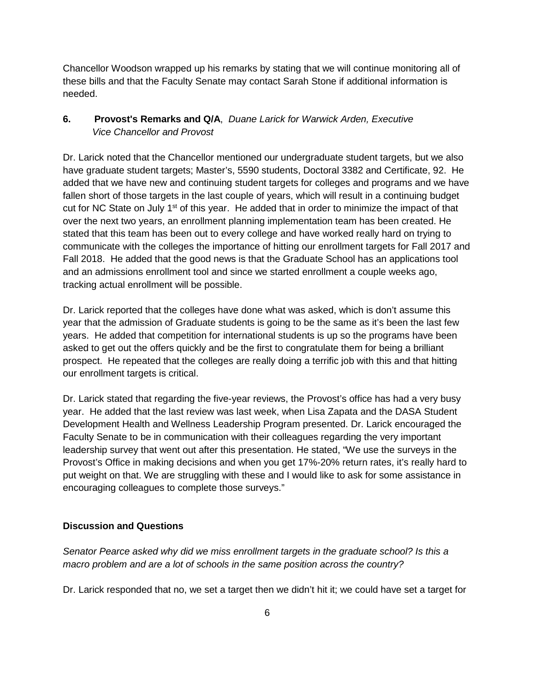Chancellor Woodson wrapped up his remarks by stating that we will continue monitoring all of these bills and that the Faculty Senate may contact Sarah Stone if additional information is needed.

## **6. Provost's Remarks and Q/A**,*Duane Larick for Warwick Arden, Executive Vice Chancellor and Provost*

Dr. Larick noted that the Chancellor mentioned our undergraduate student targets, but we also have graduate student targets; Master's, 5590 students, Doctoral 3382 and Certificate, 92. He added that we have new and continuing student targets for colleges and programs and we have fallen short of those targets in the last couple of years, which will result in a continuing budget cut for NC State on July  $1<sup>st</sup>$  of this year. He added that in order to minimize the impact of that over the next two years, an enrollment planning implementation team has been created. He stated that this team has been out to every college and have worked really hard on trying to communicate with the colleges the importance of hitting our enrollment targets for Fall 2017 and Fall 2018. He added that the good news is that the Graduate School has an applications tool and an admissions enrollment tool and since we started enrollment a couple weeks ago, tracking actual enrollment will be possible.

Dr. Larick reported that the colleges have done what was asked, which is don't assume this year that the admission of Graduate students is going to be the same as it's been the last few years. He added that competition for international students is up so the programs have been asked to get out the offers quickly and be the first to congratulate them for being a brilliant prospect. He repeated that the colleges are really doing a terrific job with this and that hitting our enrollment targets is critical.

Dr. Larick stated that regarding the five-year reviews, the Provost's office has had a very busy year. He added that the last review was last week, when Lisa Zapata and the DASA Student Development Health and Wellness Leadership Program presented. Dr. Larick encouraged the Faculty Senate to be in communication with their colleagues regarding the very important leadership survey that went out after this presentation. He stated, "We use the surveys in the Provost's Office in making decisions and when you get 17%-20% return rates, it's really hard to put weight on that. We are struggling with these and I would like to ask for some assistance in encouraging colleagues to complete those surveys."

## **Discussion and Questions**

*Senator Pearce asked why did we miss enrollment targets in the graduate school? Is this a macro problem and are a lot of schools in the same position across the country?*

Dr. Larick responded that no, we set a target then we didn't hit it; we could have set a target for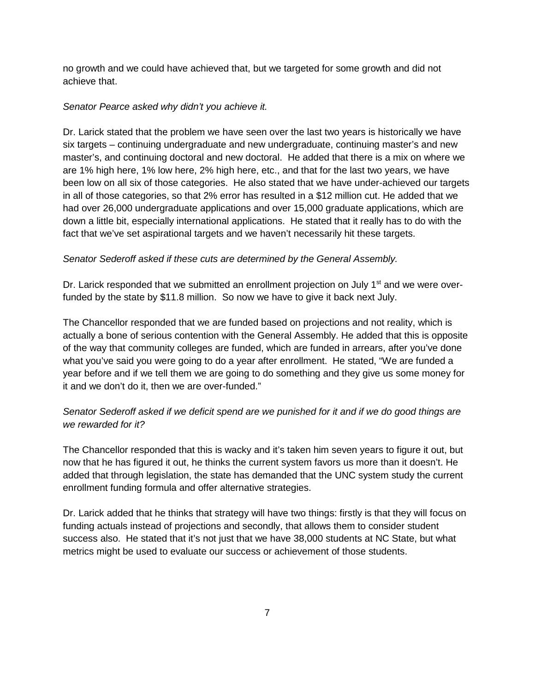no growth and we could have achieved that, but we targeted for some growth and did not achieve that.

## *Senator Pearce asked why didn't you achieve it.*

Dr. Larick stated that the problem we have seen over the last two years is historically we have six targets – continuing undergraduate and new undergraduate, continuing master's and new master's, and continuing doctoral and new doctoral. He added that there is a mix on where we are 1% high here, 1% low here, 2% high here, etc., and that for the last two years, we have been low on all six of those categories. He also stated that we have under-achieved our targets in all of those categories, so that 2% error has resulted in a \$12 million cut. He added that we had over 26,000 undergraduate applications and over 15,000 graduate applications, which are down a little bit, especially international applications. He stated that it really has to do with the fact that we've set aspirational targets and we haven't necessarily hit these targets.

## *Senator Sederoff asked if these cuts are determined by the General Assembly.*

Dr. Larick responded that we submitted an enrollment projection on July  $1<sup>st</sup>$  and we were overfunded by the state by \$11.8 million. So now we have to give it back next July.

The Chancellor responded that we are funded based on projections and not reality, which is actually a bone of serious contention with the General Assembly. He added that this is opposite of the way that community colleges are funded, which are funded in arrears, after you've done what you've said you were going to do a year after enrollment. He stated, "We are funded a year before and if we tell them we are going to do something and they give us some money for it and we don't do it, then we are over-funded."

## *Senator Sederoff asked if we deficit spend are we punished for it and if we do good things are we rewarded for it?*

The Chancellor responded that this is wacky and it's taken him seven years to figure it out, but now that he has figured it out, he thinks the current system favors us more than it doesn't. He added that through legislation, the state has demanded that the UNC system study the current enrollment funding formula and offer alternative strategies.

Dr. Larick added that he thinks that strategy will have two things: firstly is that they will focus on funding actuals instead of projections and secondly, that allows them to consider student success also. He stated that it's not just that we have 38,000 students at NC State, but what metrics might be used to evaluate our success or achievement of those students.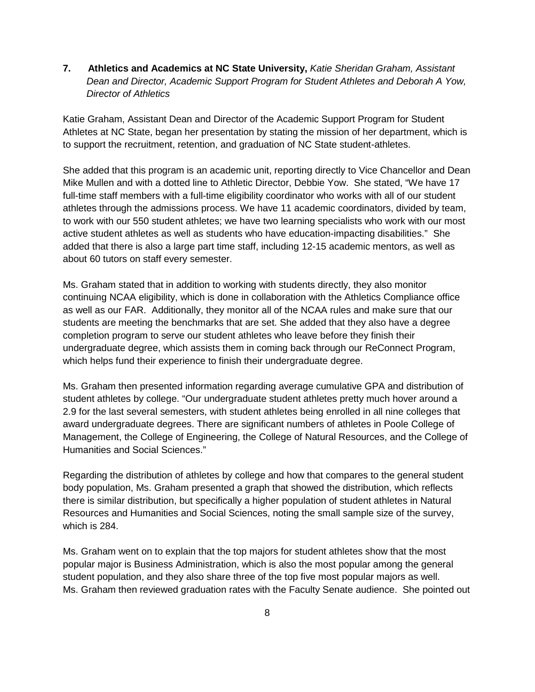**7. Athletics and Academics at NC State University,** *Katie Sheridan Graham, Assistant Dean and Director, Academic Support Program for Student Athletes and Deborah A Yow, Director of Athletics*

Katie Graham, Assistant Dean and Director of the Academic Support Program for Student Athletes at NC State, began her presentation by stating the mission of her department, which is to support the recruitment, retention, and graduation of NC State student-athletes.

She added that this program is an academic unit, reporting directly to Vice Chancellor and Dean Mike Mullen and with a dotted line to Athletic Director, Debbie Yow. She stated, "We have 17 full-time staff members with a full-time eligibility coordinator who works with all of our student athletes through the admissions process. We have 11 academic coordinators, divided by team, to work with our 550 student athletes; we have two learning specialists who work with our most active student athletes as well as students who have education-impacting disabilities." She added that there is also a large part time staff, including 12-15 academic mentors, as well as about 60 tutors on staff every semester.

Ms. Graham stated that in addition to working with students directly, they also monitor continuing NCAA eligibility, which is done in collaboration with the Athletics Compliance office as well as our FAR. Additionally, they monitor all of the NCAA rules and make sure that our students are meeting the benchmarks that are set. She added that they also have a degree completion program to serve our student athletes who leave before they finish their undergraduate degree, which assists them in coming back through our ReConnect Program, which helps fund their experience to finish their undergraduate degree.

Ms. Graham then presented information regarding average cumulative GPA and distribution of student athletes by college. "Our undergraduate student athletes pretty much hover around a 2.9 for the last several semesters, with student athletes being enrolled in all nine colleges that award undergraduate degrees. There are significant numbers of athletes in Poole College of Management, the College of Engineering, the College of Natural Resources, and the College of Humanities and Social Sciences."

Regarding the distribution of athletes by college and how that compares to the general student body population, Ms. Graham presented a graph that showed the distribution, which reflects there is similar distribution, but specifically a higher population of student athletes in Natural Resources and Humanities and Social Sciences, noting the small sample size of the survey, which is 284.

Ms. Graham went on to explain that the top majors for student athletes show that the most popular major is Business Administration, which is also the most popular among the general student population, and they also share three of the top five most popular majors as well. Ms. Graham then reviewed graduation rates with the Faculty Senate audience. She pointed out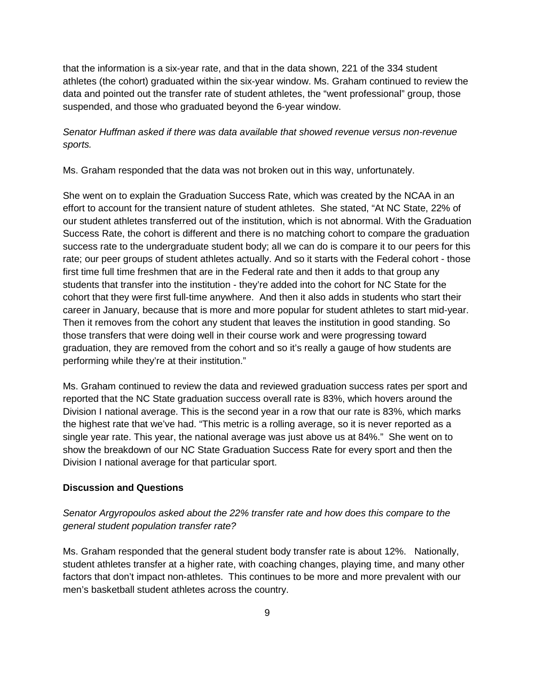that the information is a six-year rate, and that in the data shown, 221 of the 334 student athletes (the cohort) graduated within the six-year window. Ms. Graham continued to review the data and pointed out the transfer rate of student athletes, the "went professional" group, those suspended, and those who graduated beyond the 6-year window.

## *Senator Huffman asked if there was data available that showed revenue versus non-revenue sports.*

Ms. Graham responded that the data was not broken out in this way, unfortunately.

She went on to explain the Graduation Success Rate, which was created by the NCAA in an effort to account for the transient nature of student athletes. She stated, "At NC State, 22% of our student athletes transferred out of the institution, which is not abnormal. With the Graduation Success Rate, the cohort is different and there is no matching cohort to compare the graduation success rate to the undergraduate student body; all we can do is compare it to our peers for this rate; our peer groups of student athletes actually. And so it starts with the Federal cohort - those first time full time freshmen that are in the Federal rate and then it adds to that group any students that transfer into the institution - they're added into the cohort for NC State for the cohort that they were first full-time anywhere. And then it also adds in students who start their career in January, because that is more and more popular for student athletes to start mid-year. Then it removes from the cohort any student that leaves the institution in good standing. So those transfers that were doing well in their course work and were progressing toward graduation, they are removed from the cohort and so it's really a gauge of how students are performing while they're at their institution."

Ms. Graham continued to review the data and reviewed graduation success rates per sport and reported that the NC State graduation success overall rate is 83%, which hovers around the Division I national average. This is the second year in a row that our rate is 83%, which marks the highest rate that we've had. "This metric is a rolling average, so it is never reported as a single year rate. This year, the national average was just above us at 84%." She went on to show the breakdown of our NC State Graduation Success Rate for every sport and then the Division I national average for that particular sport.

#### **Discussion and Questions**

## *Senator Argyropoulos asked about the 22% transfer rate and how does this compare to the general student population transfer rate?*

Ms. Graham responded that the general student body transfer rate is about 12%. Nationally, student athletes transfer at a higher rate, with coaching changes, playing time, and many other factors that don't impact non-athletes. This continues to be more and more prevalent with our men's basketball student athletes across the country.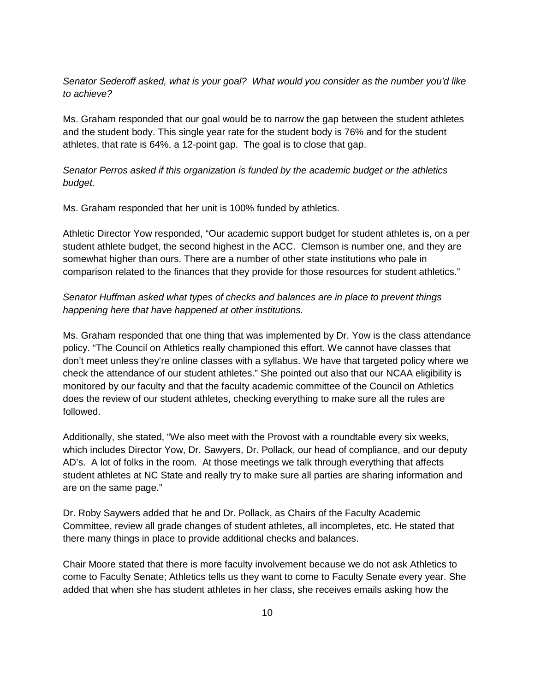## *Senator Sederoff asked, what is your goal? What would you consider as the number you'd like to achieve?*

Ms. Graham responded that our goal would be to narrow the gap between the student athletes and the student body. This single year rate for the student body is 76% and for the student athletes, that rate is 64%, a 12-point gap. The goal is to close that gap.

## *Senator Perros asked if this organization is funded by the academic budget or the athletics budget.*

Ms. Graham responded that her unit is 100% funded by athletics.

Athletic Director Yow responded, "Our academic support budget for student athletes is, on a per student athlete budget, the second highest in the ACC. Clemson is number one, and they are somewhat higher than ours. There are a number of other state institutions who pale in comparison related to the finances that they provide for those resources for student athletics."

## *Senator Huffman asked what types of checks and balances are in place to prevent things happening here that have happened at other institutions.*

Ms. Graham responded that one thing that was implemented by Dr. Yow is the class attendance policy. "The Council on Athletics really championed this effort. We cannot have classes that don't meet unless they're online classes with a syllabus. We have that targeted policy where we check the attendance of our student athletes." She pointed out also that our NCAA eligibility is monitored by our faculty and that the faculty academic committee of the Council on Athletics does the review of our student athletes, checking everything to make sure all the rules are followed.

Additionally, she stated, "We also meet with the Provost with a roundtable every six weeks, which includes Director Yow, Dr. Sawyers, Dr. Pollack, our head of compliance, and our deputy AD's. A lot of folks in the room. At those meetings we talk through everything that affects student athletes at NC State and really try to make sure all parties are sharing information and are on the same page."

Dr. Roby Saywers added that he and Dr. Pollack, as Chairs of the Faculty Academic Committee, review all grade changes of student athletes, all incompletes, etc. He stated that there many things in place to provide additional checks and balances.

Chair Moore stated that there is more faculty involvement because we do not ask Athletics to come to Faculty Senate; Athletics tells us they want to come to Faculty Senate every year. She added that when she has student athletes in her class, she receives emails asking how the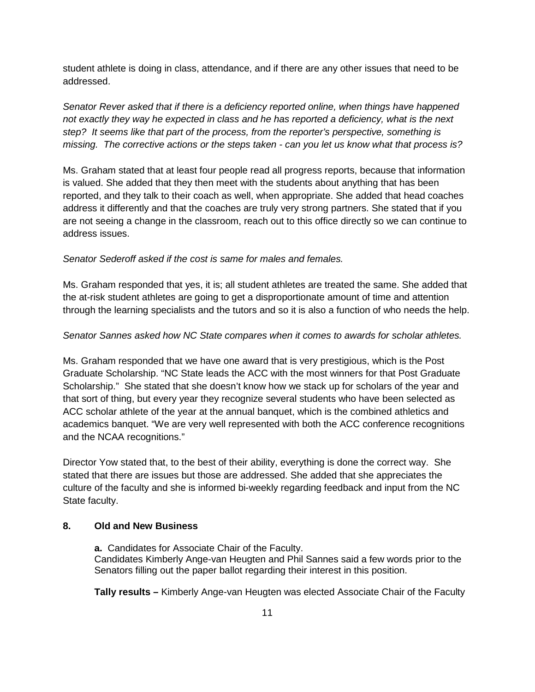student athlete is doing in class, attendance, and if there are any other issues that need to be addressed.

*Senator Rever asked that if there is a deficiency reported online, when things have happened not exactly they way he expected in class and he has reported a deficiency, what is the next step? It seems like that part of the process, from the reporter's perspective, something is missing. The corrective actions or the steps taken - can you let us know what that process is?*

Ms. Graham stated that at least four people read all progress reports, because that information is valued. She added that they then meet with the students about anything that has been reported, and they talk to their coach as well, when appropriate. She added that head coaches address it differently and that the coaches are truly very strong partners. She stated that if you are not seeing a change in the classroom, reach out to this office directly so we can continue to address issues.

#### *Senator Sederoff asked if the cost is same for males and females.*

Ms. Graham responded that yes, it is; all student athletes are treated the same. She added that the at-risk student athletes are going to get a disproportionate amount of time and attention through the learning specialists and the tutors and so it is also a function of who needs the help.

#### *Senator Sannes asked how NC State compares when it comes to awards for scholar athletes.*

Ms. Graham responded that we have one award that is very prestigious, which is the Post Graduate Scholarship. "NC State leads the ACC with the most winners for that Post Graduate Scholarship." She stated that she doesn't know how we stack up for scholars of the year and that sort of thing, but every year they recognize several students who have been selected as ACC scholar athlete of the year at the annual banquet, which is the combined athletics and academics banquet. "We are very well represented with both the ACC conference recognitions and the NCAA recognitions."

Director Yow stated that, to the best of their ability, everything is done the correct way. She stated that there are issues but those are addressed. She added that she appreciates the culture of the faculty and she is informed bi-weekly regarding feedback and input from the NC State faculty.

## **8. Old and New Business**

**a.** Candidates for Associate Chair of the Faculty. Candidates Kimberly Ange-van Heugten and Phil Sannes said a few words prior to the Senators filling out the paper ballot regarding their interest in this position.

**Tally results –** Kimberly Ange-van Heugten was elected Associate Chair of the Faculty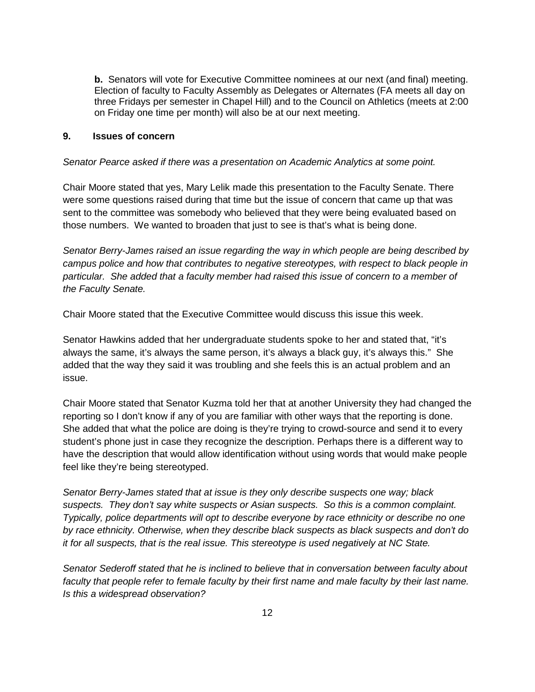**b.** Senators will vote for Executive Committee nominees at our next (and final) meeting. Election of faculty to Faculty Assembly as Delegates or Alternates (FA meets all day on three Fridays per semester in Chapel Hill) and to the Council on Athletics (meets at 2:00 on Friday one time per month) will also be at our next meeting.

#### **9. Issues of concern**

#### *Senator Pearce asked if there was a presentation on Academic Analytics at some point.*

Chair Moore stated that yes, Mary Lelik made this presentation to the Faculty Senate. There were some questions raised during that time but the issue of concern that came up that was sent to the committee was somebody who believed that they were being evaluated based on those numbers. We wanted to broaden that just to see is that's what is being done.

*Senator Berry-James raised an issue regarding the way in which people are being described by campus police and how that contributes to negative stereotypes, with respect to black people in particular. She added that a faculty member had raised this issue of concern to a member of the Faculty Senate.*

Chair Moore stated that the Executive Committee would discuss this issue this week.

Senator Hawkins added that her undergraduate students spoke to her and stated that, "it's always the same, it's always the same person, it's always a black guy, it's always this." She added that the way they said it was troubling and she feels this is an actual problem and an issue.

Chair Moore stated that Senator Kuzma told her that at another University they had changed the reporting so I don't know if any of you are familiar with other ways that the reporting is done. She added that what the police are doing is they're trying to crowd-source and send it to every student's phone just in case they recognize the description. Perhaps there is a different way to have the description that would allow identification without using words that would make people feel like they're being stereotyped.

*Senator Berry-James stated that at issue is they only describe suspects one way; black suspects. They don't say white suspects or Asian suspects. So this is a common complaint. Typically, police departments will opt to describe everyone by race ethnicity or describe no one by race ethnicity. Otherwise, when they describe black suspects as black suspects and don't do it for all suspects, that is the real issue. This stereotype is used negatively at NC State.*

*Senator Sederoff stated that he is inclined to believe that in conversation between faculty about faculty that people refer to female faculty by their first name and male faculty by their last name. Is this a widespread observation?*